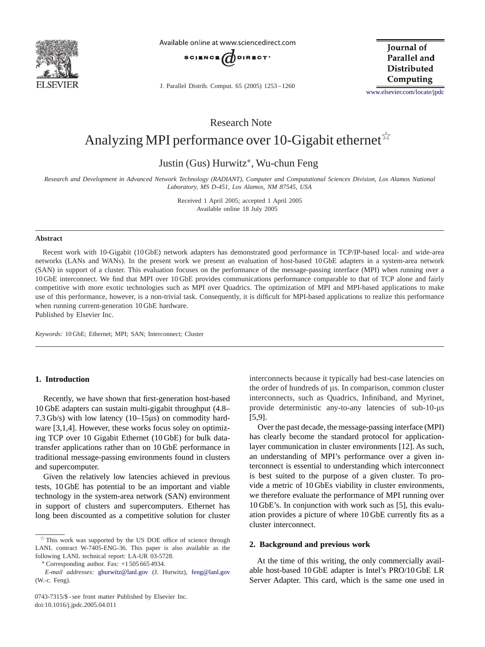

Available online at www.sciencedirect.com



J. Parallel Distrib. Comput. 65 (2005) 1253 – 1260

**Iournal** of Parallel and **Distributed** Computing

[www.elsevier.com/locate/jpdc](http://www.elsevier.com/locate/jpdc)

Research Note

# Analyzing MPI performance over 10-Gigabit ethernet  $\overrightarrow{x}$

Justin (Gus) Hurwitz∗, Wu-chun Feng

*Research and Development in Advanced Network Technology (RADIANT), Computer and Computational Sciences Division, Los Alamos National Laboratory, MS D-451, Los Alamos, NM 87545, USA*

> Received 1 April 2005; accepted 1 April 2005 Available online 18 July 2005

#### **Abstract**

Recent work with 10-Gigabit (10 GbE) network adapters has demonstrated good performance in TCP/IP-based local- and wide-area networks (LANs and WANs). In the present work we present an evaluation of host-based 10 GbE adapters in a system-area network (SAN) in support of a cluster. This evaluation focuses on the performance of the message-passing interface (MPI) when running over a 10 GbE interconnect. We find that MPI over 10 GbE provides communications performance comparable to that of TCP alone and fairly competitive with more exotic technologies such as MPI over Quadrics. The optimization of MPI and MPI-based applications to make use of this performance, however, is a non-trivial task. Consequently, it is difficult for MPI-based applications to realize this performance when running current-generation 10 GbE hardware.

Published by Elsevier Inc.

*Keywords:* 10 GbE; Ethernet; MPI; SAN; Interconnect; Cluster

## **1. Introduction**

Recently, we have shown that first-generation host-based 10 GbE adapters can sustain multi-gigabit throughput (4.8– 7.3 Gb/s) with low latency  $(10-15\mu s)$  on commodity hard-ware [\[3,1,4\].](#page-7-0) However, these works focus soley on optimizing TCP over 10 Gigabit Ethernet (10 GbE) for bulk datatransfer applications rather than on 10 GbE performance in traditional message-passing environments found in clusters and supercomputer.

Given the relatively low latencies achieved in previous tests, 10 GbE has potential to be an important and viable technology in the system-area network (SAN) environment in support of clusters and supercomputers. Ethernet has long been discounted as a competitive solution for cluster interconnects because it typically had best-case latencies on the order of hundreds of  $\mu$ s. In comparison, common cluster interconnects, such as Quadrics, Infiniband, and Myrinet, provide deterministic any-to-any latencies of  $sub-10-<sub>µs</sub>$ [5,9].

Over the past decade, the message-passing interface (MPI) has clearly become the standard protocol for applicationlayer communication in cluster environments [\[12\].](#page-7-0) As such, an understanding of MPI's performance over a given interconnect is essential to understanding which interconnect is best suited to the purpose of a given cluster. To provide a metric of 10 GbEs viability in cluster environments, we therefore evaluate the performance of MPI running over 10 GbE's. In conjunction with work such as [\[5\],](#page-7-0) this evaluation provides a picture of where 10 GbE currently fits as a cluster interconnect.

### **2. Background and previous work**

At the time of this writing, the only commercially available host-based 10 GbE adapter is Intel's PRO/10 GbE LR Server Adapter. This card, which is the same one used in

 $*$  This work was supported by the US DOE office of science through LANL contract W-7405-ENG-36. This paper is also available as the following LANL technical report: LA-UR 03-5728.

<sup>∗</sup> Corresponding author. Fax: +1 505 665 4934.

*E-mail addresses:* [ghurwitz@lanl.gov](mailto:ghurwitz@lanl.gov) (J. Hurwitz), [feng@lanl.gov](mailto:feng@lanl.gov) (W.-c. Feng).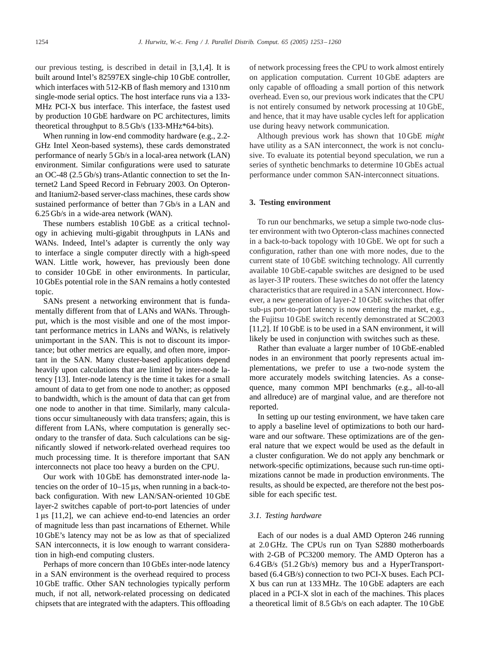our previous testing, is described in detail in [\[3,1,4\].](#page-7-0) It is built around Intel's 82597EX single-chip 10 GbE controller, which interfaces with 512-KB of flash memory and 1310 nm single-mode serial optics. The host interface runs via a 133- MHz PCI-X bus interface. This interface, the fastest used by production 10 GbE hardware on PC architectures, limits theoretical throughput to 8.5 Gb/s (133-MHz\*64-bits).

When running in low-end commodity hardware (e.g., 2.2- GHz Intel Xeon-based systems), these cards demonstrated performance of nearly 5 Gb/s in a local-area network (LAN) environment. Similar configurations were used to saturate an OC-48 (2.5 Gb/s) trans-Atlantic connection to set the Internet2 Land Speed Record in February 2003. On Opteronand Itanium2-based server-class machines, these cards show sustained performance of better than 7 Gb/s in a LAN and 6.25 Gb/s in a wide-area network (WAN).

These numbers establish 10 GbE as a critical technology in achieving multi-gigabit throughputs in LANs and WANs. Indeed, Intel's adapter is currently the only way to interface a single computer directly with a high-speed WAN. Little work, however, has previously been done to consider 10 GbE in other environments. In particular, 10 GbEs potential role in the SAN remains a hotly contested topic.

SANs present a networking environment that is fundamentally different from that of LANs and WANs. Throughput, which is the most visible and one of the most important performance metrics in LANs and WANs, is relatively unimportant in the SAN. This is not to discount its importance; but other metrics are equally, and often more, important in the SAN. Many cluster-based applications depend heavily upon calculations that are limited by inter-node latency [\[13\].](#page-7-0) Inter-node latency is the time it takes for a small amount of data to get from one node to another; as opposed to bandwidth, which is the amount of data that can get from one node to another in that time. Similarly, many calculations occur simultaneously with data transfers; again, this is different from LANs, where computation is generally secondary to the transfer of data. Such calculations can be significantly slowed if network-related overhead requires too much processing time. It is therefore important that SAN interconnects not place too heavy a burden on the CPU.

Our work with 10 GbE has demonstrated inter-node latencies on the order of  $10-15 \,\mu s$ , when running in a back-toback configuration. With new LAN/SAN-oriented 10 GbE layer-2 switches capable of port-to-port latencies of under  $1 \mu s$  [\[11,2\],](#page-7-0) we can achieve end-to-end latencies an order of magnitude less than past incarnations of Ethernet. While 10 GbE's latency may not be as low as that of specialized SAN interconnects, it is low enough to warrant consideration in high-end computing clusters.

Perhaps of more concern than 10 GbEs inter-node latency in a SAN environment is the overhead required to process 10 GbE traffic. Other SAN technologies typically perform much, if not all, network-related processing on dedicated chipsets that are integrated with the adapters. This offloading

of network processing frees the CPU to work almost entirely on application computation. Current 10 GbE adapters are only capable of offloading a small portion of this network overhead. Even so, our previous work indicates that the CPU is not entirely consumed by network processing at 10 GbE, and hence, that it may have usable cycles left for application use during heavy network communication.

Although previous work has shown that 10 GbE *might* have utility as a SAN interconnect, the work is not conclusive. To evaluate its potential beyond speculation, we run a series of synthetic benchmarks to determine 10 GbEs actual performance under common SAN-interconnect situations.

## **3. Testing environment**

To run our benchmarks, we setup a simple two-node cluster environment with two Opteron-class machines connected in a back-to-back topology with 10 GbE. We opt for such a configuration, rather than one with more nodes, due to the current state of 10 GbE switching technology. All currently available 10 GbE-capable switches are designed to be used as layer-3 IP routers. These switches do not offer the latency characteristics that are required in a SAN interconnect. However, a new generation of layer-2 10 GbE switches that offer sub- $\mu$ s port-to-port latency is now entering the market, e.g., the Fujitsu 10 GbE switch recently demonstrated at SC2003 [\[11,2\].](#page-7-0) If 10 GbE is to be used in a SAN environment, it will likely be used in conjunction with switches such as these.

Rather than evaluate a larger number of 10 GbE-enabled nodes in an environment that poorly represents actual implementations, we prefer to use a two-node system the more accurately models switching latencies. As a consequence, many common MPI benchmarks (e.g., all-to-all and allreduce) are of marginal value, and are therefore not reported.

In setting up our testing environment, we have taken care to apply a baseline level of optimizations to both our hardware and our software. These optimizations are of the general nature that we expect would be used as the default in a cluster configuration. We do not apply any benchmark or network-specific optimizations, because such run-time optimizations cannot be made in production environments. The results, as should be expected, are therefore not the best possible for each specific test.

### *3.1. Testing hardware*

Each of our nodes is a dual AMD Opteron 246 running at 2.0 GHz. The CPUs run on Tyan S2880 motherboards with 2-GB of PC3200 memory. The AMD Opteron has a  $6.4$  GB/s  $(51.2$  Gb/s) memory bus and a HyperTransportbased (6.4 GB/s) connection to two PCI-X buses. Each PCI-X bus can run at 133 MHz. The 10 GbE adapters are each placed in a PCI-X slot in each of the machines. This places a theoretical limit of 8.5 Gb/s on each adapter. The 10 GbE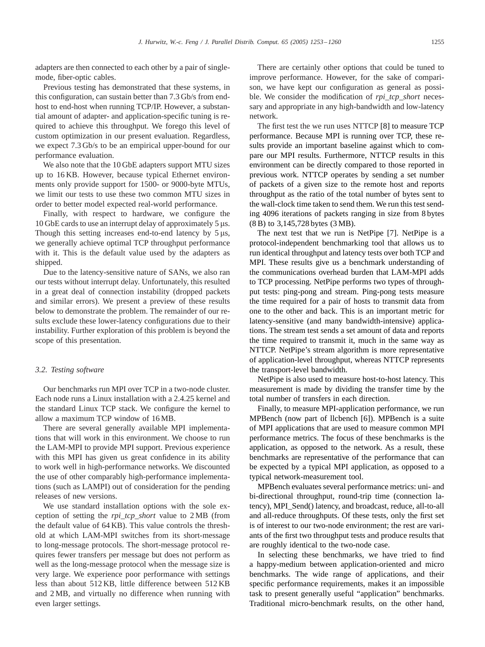adapters are then connected to each other by a pair of singlemode, fiber-optic cables.

Previous testing has demonstrated that these systems, in this configuration, can sustain better than 7.3 Gb/s from endhost to end-host when running TCP/IP. However, a substantial amount of adapter- and application-specific tuning is required to achieve this throughput. We forego this level of custom optimization in our present evaluation. Regardless, we expect 7.3 Gb/s to be an empirical upper-bound for our performance evaluation.

We also note that the 10 GbE adapters support MTU sizes up to 16 KB. However, because typical Ethernet environments only provide support for 1500- or 9000-byte MTUs, we limit our tests to use these two common MTU sizes in order to better model expected real-world performance.

Finally, with respect to hardware, we configure the  $10$  GbE cards to use an interrupt delay of approximately 5  $\mu$ s. Though this setting increases end-to-end latency by  $5 \mu s$ , we generally achieve optimal TCP throughput performance with it. This is the default value used by the adapters as shipped.

Due to the latency-sensitive nature of SANs, we also ran our tests without interrupt delay. Unfortunately, this resulted in a great deal of connection instability (dropped packets and similar errors). We present a preview of these results below to demonstrate the problem. The remainder of our results exclude these lower-latency configurations due to their instability. Further exploration of this problem is beyond the scope of this presentation.

## *3.2. Testing software*

Our benchmarks run MPI over TCP in a two-node cluster. Each node runs a Linux installation with a 2.4.25 kernel and the standard Linux TCP stack. We configure the kernel to allow a maximum TCP window of 16 MB.

There are several generally available MPI implementations that will work in this environment. We choose to run the LAM-MPI to provide MPI support. Previous experience with this MPI has given us great confidence in its ability to work well in high-performance networks. We discounted the use of other comparably high-performance implementations (such as LAMPI) out of consideration for the pending releases of new versions.

We use standard installation options with the sole exception of setting the *rpi\_tcp\_short* value to 2 MB (from the default value of 64 KB). This value controls the thresholdat which LAM-MPI switches from its short-message to long-message protocols. The short-message protocol requires fewer transfers per message but does not perform as well as the long-message protocol when the message size is very large. We experience poor performance with settings less than about 512 KB, little difference between 512 KB and  $2 MB$ , and virtually no difference when running with even larger settings.

There are certainly other options that could be tuned to improve performance. However, for the sake of comparison, we have kept our configuration as general as possible. We consider the modification of *rpi\_tcp\_short* necessary and appropriate in any high-bandwidth and low-latency network.

The first test the we run uses NTTCP [\[8\]](#page-7-0) to measure TCP performance. Because MPI is running over TCP, these results provide an important baseline against which to compare our MPI results. Furthermore, NTTCP results in this environment can be directly compared to those reported in previous work. NTTCP operates by sending a set number of packets of a given size to the remote host andreports throughput as the ratio of the total number of bytes sent to the wall-clock time taken to send them. We run this test sending 4096 iterations of packets ranging in size from 8 bytes (8 B) to 3,145,728 bytes (3 MB).

The next test that we run is NetPipe [\[7\].](#page-7-0) NetPipe is a protocol-independent benchmarking tool that allows us to run identical throughput and latency tests over both TCP and MPI. These results give us a benchmark understanding of the communications overhead burden that LAM-MPI adds to TCP processing. NetPipe performs two types of throughput tests: ping-pong and stream. Ping-pong tests measure the time required for a pair of hosts to transmit data from one to the other andback. This is an important metric for latency-sensitive (and many bandwidth-intensive) applications. The stream test sends a set amount of data and reports the time required to transmit it, much in the same way as NTTCP. NetPipe's stream algorithm is more representative of application-level throughput, whereas NTTCP represents the transport-level bandwidth.

NetPipe is also used to measure host-to-host latency. This measurement is made by dividing the transfer time by the total number of transfers in each direction.

Finally, to measure MPI-application performance, we run MPBench (now part of llcbench [\[6\]\)](#page-7-0). MPBench is a suite of MPI applications that are used to measure common MPI performance metrics. The focus of these benchmarks is the application, as opposed to the network. As a result, these benchmarks are representative of the performance that can be expected by a typical MPI application, as opposed to a typical network-measurement tool.

MPBench evaluates several performance metrics: uni- and bi-directional throughput, round-trip time (connection latency), MPI\_Send() latency, and broadcast, reduce, all-to-all andall-reduce throughputs. Of these tests, only the first set is of interest to our two-node environment; the rest are variants of the first two throughput tests andproduce results that are roughly identical to the two-node case.

In selecting these benchmarks, we have tried to find a happy-medium between application-oriented and micro benchmarks. The wide range of applications, and their specific performance requirements, makes it an impossible task to present generally useful "application" benchmarks. Traditional micro-benchmark results, on the other hand,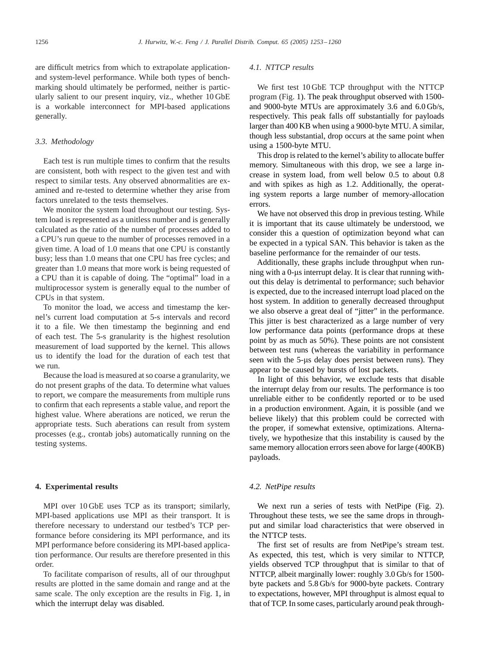are difficult metrics from which to extrapolate applicationand system-level performance. While both types of benchmarking should ultimately be performed, neither is particularly salient to our present inquiry, viz., whether 10 GbE is a workable interconnect for MPI-based applications generally.

#### *3.3. Methodology*

Each test is run multiple times to confirm that the results are consistent, both with respect to the given test and with respect to similar tests. Any observed abnormalities are examined and re-tested to determine whether they arise from factors unrelated to the tests themselves.

We monitor the system load throughout our testing. System load is represented as a unitless number and is generally calculated as the ratio of the number of processes added to a CPU's run queue to the number of processes removed in a given time. A loadof 1.0 means that one CPU is constantly busy; less than 1.0 means that one CPU has free cycles; and greater than 1.0 means that more work is being requested of a CPU than it is capable of doing. The "optimal" load in a multiprocessor system is generally equal to the number of CPUs in that system.

To monitor the load, we access and timestamp the kernel's current load computation at 5-s intervals and record it to a file. We then timestamp the beginning and end of each test. The 5-s granularity is the highest resolution measurement of load supported by the kernel. This allows us to identify the load for the duration of each test that we run.

Because the load is measured at so coarse a granularity, we do not present graphs of the data. To determine what values to report, we compare the measurements from multiple runs to confirm that each represents a stable value, andreport the highest value. Where aberations are noticed, we rerun the appropriate tests. Such aberations can result from system processes (e.g., crontab jobs) automatically running on the testing systems.

## **4. Experimental results**

MPI over 10 GbE uses TCP as its transport; similarly, MPI-based applications use MPI as their transport. It is therefore necessary to understand our testbed's TCP performance before considering its MPI performance, and its MPI performance before considering its MPI-based application performance. Our results are therefore presented in this order.

To facilitate comparison of results, all of our throughput results are plotted in the same domain and range and at the same scale. The only exception are the results in Fig. [1,](#page-4-0) in which the interrupt delay was disabled.

#### *4.1. NTTCP results*

We first test 10 GbE TCP throughput with the NTTCP program (Fig. [1\)](#page-4-0). The peak throughput observed with 1500and 9000-byte MTUs are approximately  $3.6$  and  $6.0$  Gb/s, respectively. This peak falls off substantially for payloads larger than 400 KB when using a 9000-byte MTU. A similar, though less substantial, drop occurs at the same point when using a 1500-byte MTU.

This drop is related to the kernel's ability to allocate buffer memory. Simultaneous with this drop, we see a large increase in system load, from well below 0.5 to about 0.8 and with spikes as high as 1.2. Additionally, the operating system reports a large number of memory-allocation errors.

We have not observed this drop in previous testing. While it is important that its cause ultimately be understood, we consider this a question of optimization beyond what can be expected in a typical SAN. This behavior is taken as the baseline performance for the remainder of our tests.

Additionally, these graphs include throughput when running with a 0-us interrupt delay. It is clear that running without this delay is detrimental to performance; such behavior is expected, due to the increased interrupt load placed on the host system. In addition to generally decreased throughput we also observe a great deal of "jitter" in the performance. This jitter is best characterized as a large number of very low performance data points (performance drops at these point by as much as 50%). These points are not consistent between test runs (whereas the variability in performance seen with the 5-us delay does persist between runs). They appear to be caused by bursts of lost packets.

In light of this behavior, we exclude tests that disable the interrupt delay from our results. The performance is too unreliable either to be confidently reported or to be used in a production environment. Again, it is possible (and we believe likely) that this problem could be corrected with the proper, if somewhat extensive, optimizations. Alternatively, we hypothesize that this instability is caused by the same memory allocation errors seen above for large (400KB) payloads.

## *4.2. NetPipe results*

We next run a series of tests with NetPipe (Fig. [2\)](#page-4-0). Throughout these tests, we see the same drops in throughput and similar load characteristics that were observed in the NTTCP tests.

The first set of results are from NetPipe's stream test. As expected, this test, which is very similar to NTTCP, yields observed TCP throughput that is similar to that of NTTCP, albeit marginally lower: roughly 3.0 Gb/s for 1500 byte packets and 5.8 Gb/s for 9000-byte packets. Contrary to expectations, however, MPI throughput is almost equal to that of TCP. In some cases, particularly around peak through-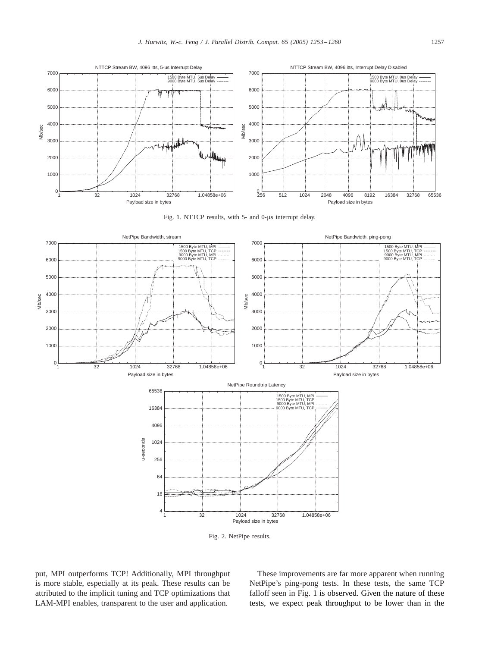<span id="page-4-0"></span>

Fig. 1. NTTCP results, with 5- and 0-us interrupt delay.



Fig. 2. NetPipe results.

put, MPI outperforms TCP! Additionally, MPI throughput is more stable, especially at its peak. These results can be attributed to the implicit tuning and TCP optimizations that LAM-MPI enables, transparent to the user and application.

These improvements are far more apparent when running NetPipe's ping-pong tests. In these tests, the same TCP falloff seen in Fig. 1 is observed. Given the nature of these tests, we expect peak throughput to be lower than in the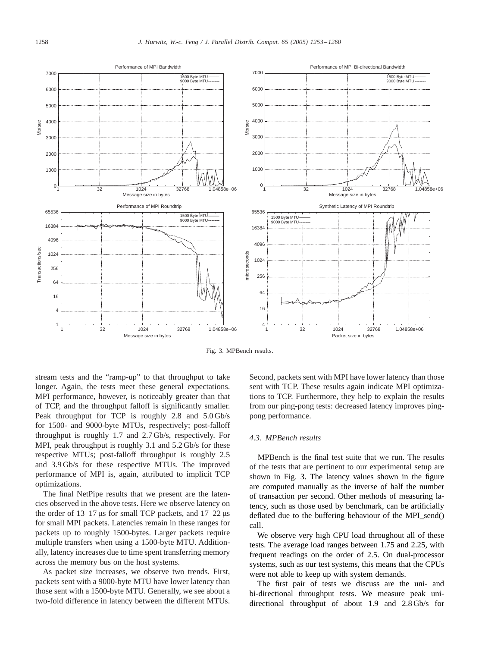

Fig. 3. MPBench results.

stream tests and the "ramp-up" to that throughput to take longer. Again, the tests meet these general expectations. MPI performance, however, is noticeably greater than that of TCP, and the throughput falloff is significantly smaller. Peak throughput for TCP is roughly  $2.8$  and  $5.0$  Gb/s for 1500- and 9000-byte MTUs, respectively; post-falloff throughput is roughly 1.7 and 2.7 Gb/s, respectively. For MPI, peak throughput is roughly  $3.1$  and  $5.2$  Gb/s for these respective MTUs; post-falloff throughput is roughly 2.5 and3.9 Gb/s for these respective MTUs. The improved performance of MPI is, again, attributed to implicit TCP optimizations.

The final NetPipe results that we present are the latencies observedin the above tests. Here we observe latency on the order of  $13-17 \,\mu s$  for small TCP packets, and  $17-22 \,\mu s$ for small MPI packets. Latencies remain in these ranges for packets up to roughly 1500-bytes. Larger packets require multiple transfers when using a 1500-byte MTU. Additionally, latency increases due to time spent transferring memory across the memory bus on the host systems.

As packet size increases, we observe two trends. First, packets sent with a 9000-byte MTU have lower latency than those sent with a 1500-byte MTU. Generally, we see about a two-fold difference in latency between the different MTUs.

Second, packets sent with MPI have lower latency than those sent with TCP. These results again indicate MPI optimizations to TCP. Furthermore, they help to explain the results from our ping-pong tests: decreased latency improves pingpong performance.

#### *4.3. MPBench results*

MPBench is the final test suite that we run. The results of the tests that are pertinent to our experimental setup are shown in Fig. 3. The latency values shown in the figure are computed manually as the inverse of half the number of transaction per second. Other methods of measuring latency, such as those used by benchmark, can be artificially deflated due to the buffering behaviour of the MPI\_send() call.

We observe very high CPU load throughout all of these tests. The average load ranges between 1.75 and 2.25, with frequent readings on the order of 2.5. On dual-processor systems, such as our test systems, this means that the CPUs were not able to keep up with system demands.

The first pair of tests we discuss are the uni- and bi-directional throughput tests. We measure peak unidirectional throughput of about 1.9 and 2.8 Gb/s for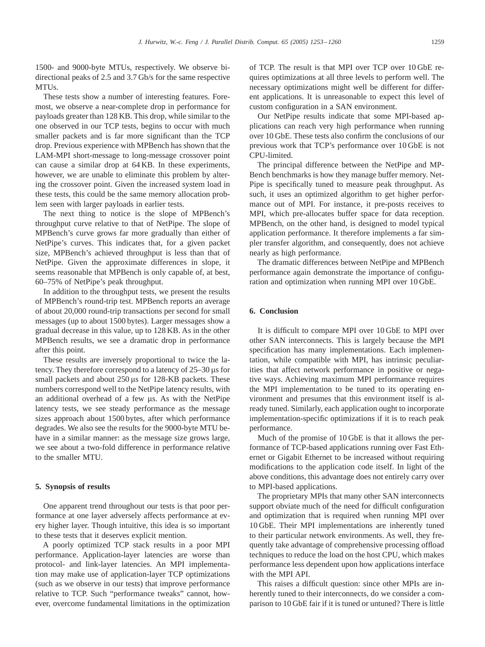1500- and 9000-byte MTUs, respectively. We observe bidirectional peaks of 2.5 and 3.7 Gb/s for the same respective MTUs.

These tests show a number of interesting features. Foremost, we observe a near-complete drop in performance for payloads greater than 128 KB. This drop, while similar to the one observed in our TCP tests, begins to occur with much smaller packets and is far more significant than the TCP drop. Previous experience with MPBench has shown that the LAM-MPI short-message to long-message crossover point can cause a similar drop at 64 KB. In these experiments, however, we are unable to eliminate this problem by altering the crossover point. Given the increased system load in these tests, this could be the same memory allocation problem seen with larger payloads in earlier tests.

The next thing to notice is the slope of MPBench's throughput curve relative to that of NetPipe. The slope of MPBench's curve grows far more gradually than either of NetPipe's curves. This indicates that, for a given packet size, MPBench's achieved throughput is less than that of NetPipe. Given the approximate differences in slope, it seems reasonable that MPBench is only capable of, at best, 60–75% of NetPipe's peak throughput.

In addition to the throughput tests, we present the results of MPBench's round-trip test. MPBench reports an average of about 20,000 round-trip transactions per second for small messages (up to about 1500 bytes). Larger messages show a gradual decrease in this value, up to 128 KB. As in the other MPBench results, we see a dramatic drop in performance after this point.

These results are inversely proportional to twice the latency. They therefore correspond to a latency of  $25-30 \,\mu s$  for small packets and about 250 us for 128-KB packets. These numbers correspondwell to the NetPipe latency results, with an additional overhead of a few us. As with the NetPipe latency tests, we see steady performance as the message sizes approach about 1500 bytes, after which performance degrades. We also see the results for the 9000-byte MTU behave in a similar manner: as the message size grows large, we see about a two-fold difference in performance relative to the smaller MTU.

## **5. Synopsis of results**

One apparent trend throughout our tests is that poor performance at one layer adversely affects performance at every higher layer. Though intuitive, this idea is so important to these tests that it deserves explicit mention.

A poorly optimized TCP stack results in a poor MPI performance. Application-layer latencies are worse than protocol- and link-layer latencies. An MPI implementation may make use of application-layer TCP optimizations (such as we observe in our tests) that improve performance relative to TCP. Such "performance tweaks" cannot, however, overcome fundamental limitations in the optimization

of TCP. The result is that MPI over TCP over 10 GbE requires optimizations at all three levels to perform well. The necessary optimizations might well be different for different applications. It is unreasonable to expect this level of custom configuration in a SAN environment.

Our NetPipe results indicate that some MPI-based applications can reach very high performance when running over 10 GbE. These tests also confirm the conclusions of our previous work that TCP's performance over 10 GbE is not CPU-limited.

The principal difference between the NetPipe and MP-Bench benchmarks is how they manage buffer memory. Net-Pipe is specifically tuned to measure peak throughput. As such, it uses an optimized algorithm to get higher performance out of MPI. For instance, it pre-posts receives to MPI, which pre-allocates buffer space for data reception. MPBench, on the other hand, is designed to model typical application performance. It therefore implements a far simpler transfer algorithm, and consequently, does not achieve nearly as high performance.

The dramatic differences between NetPipe and MPBench performance again demonstrate the importance of configuration and optimization when running MPI over 10 GbE.

# **6. Conclusion**

It is difficult to compare MPI over 10 GbE to MPI over other SAN interconnects. This is largely because the MPI specification has many implementations. Each implementation, while compatible with MPI, has intrinsic peculiarities that affect network performance in positive or negative ways. Achieving maximum MPI performance requires the MPI implementation to be tuned to its operating environment and presumes that this environment itself is already tuned. Similarly, each application ought to incorporate implementation-specific optimizations if it is to reach peak performance.

Much of the promise of 10 GbE is that it allows the performance of TCP-based applications running over Fast Ethernet or Gigabit Ethernet to be increased without requiring modifications to the application code itself. In light of the above conditions, this advantage does not entirely carry over to MPI-based applications.

The proprietary MPIs that many other SAN interconnects support obviate much of the need for difficult configuration and optimization that is required when running MPI over 10 GbE. Their MPI implementations are inherently tuned to their particular network environments. As well, they frequently take advantage of comprehensive processing offload techniques to reduce the load on the host CPU, which makes performance less dependent upon how applications interface with the MPI API.

This raises a difficult question: since other MPIs are inherently tuned to their interconnects, do we consider a comparison to 10 GbE fair if it is tuned or untuned? There is little